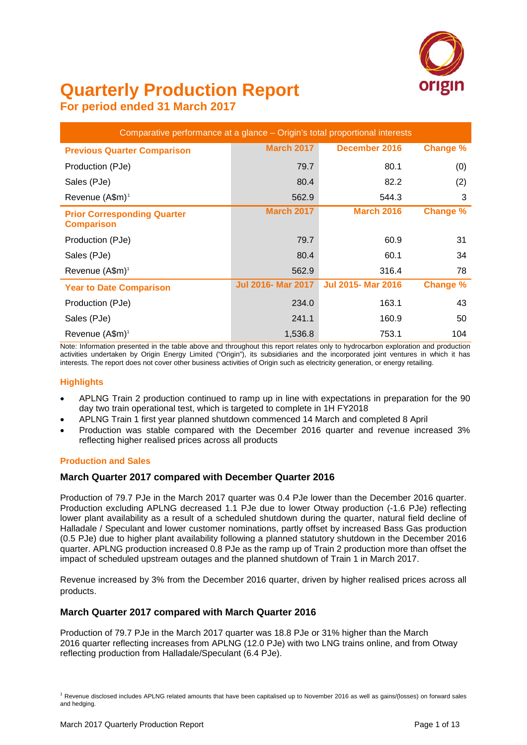

# **Quarterly Production Report**

**For period ended 31 March 2017**

| Comparative performance at a glance - Origin's total proportional interests |                           |                           |                 |  |  |  |  |  |  |  |  |
|-----------------------------------------------------------------------------|---------------------------|---------------------------|-----------------|--|--|--|--|--|--|--|--|
| <b>Previous Quarter Comparison</b>                                          | <b>March 2017</b>         | December 2016             | Change %        |  |  |  |  |  |  |  |  |
| Production (PJe)                                                            | 79.7                      | 80.1                      | (0)             |  |  |  |  |  |  |  |  |
| Sales (PJe)                                                                 | 80.4                      | 82.2                      | (2)             |  |  |  |  |  |  |  |  |
| Revenue (A\$m) <sup>1</sup>                                                 | 562.9                     | 544.3                     | 3               |  |  |  |  |  |  |  |  |
| <b>Prior Corresponding Quarter</b><br><b>Comparison</b>                     | <b>March 2017</b>         | <b>March 2016</b>         | <b>Change %</b> |  |  |  |  |  |  |  |  |
| Production (PJe)                                                            | 79.7                      | 60.9                      | 31              |  |  |  |  |  |  |  |  |
| Sales (PJe)                                                                 | 80.4                      | 60.1                      | 34              |  |  |  |  |  |  |  |  |
| Revenue (A\$m) <sup>1</sup>                                                 | 562.9                     | 316.4                     | 78              |  |  |  |  |  |  |  |  |
| <b>Year to Date Comparison</b>                                              | <b>Jul 2016- Mar 2017</b> | <b>Jul 2015- Mar 2016</b> | <b>Change %</b> |  |  |  |  |  |  |  |  |
| Production (PJe)                                                            | 234.0                     | 163.1                     | 43              |  |  |  |  |  |  |  |  |
| Sales (PJe)                                                                 | 241.1                     | 160.9                     | 50              |  |  |  |  |  |  |  |  |
| Revenue (A\$m) <sup>1</sup>                                                 | 1,536.8                   | 753.1                     | 104             |  |  |  |  |  |  |  |  |

Note: Information presented in the table above and throughout this report relates only to hydrocarbon exploration and production activities undertaken by Origin Energy Limited ("Origin"), its subsidiaries and the incorporated joint ventures in which it has interests. The report does not cover other business activities of Origin such as electricity generation, or energy retailing.

#### **Highlights**

- APLNG Train 2 production continued to ramp up in line with expectations in preparation for the 90 day two train operational test, which is targeted to complete in 1H FY2018
- APLNG Train 1 first year planned shutdown commenced 14 March and completed 8 April
- Production was stable compared with the December 2016 quarter and revenue increased 3% reflecting higher realised prices across all products

#### **Production and Sales**

#### **March Quarter 2017 compared with December Quarter 2016**

Production of 79.7 PJe in the March 2017 quarter was 0.4 PJe lower than the December 2016 quarter. Production excluding APLNG decreased 1.1 PJe due to lower Otway production (-1.6 PJe) reflecting lower plant availability as a result of a scheduled shutdown during the quarter, natural field decline of Halladale / Speculant and lower customer nominations, partly offset by increased Bass Gas production (0.5 PJe) due to higher plant availability following a planned statutory shutdown in the December 2016 quarter. APLNG production increased 0.8 PJe as the ramp up of Train 2 production more than offset the impact of scheduled upstream outages and the planned shutdown of Train 1 in March 2017.

Revenue increased by 3% from the December 2016 quarter, driven by higher realised prices across all products.

### **March Quarter 2017 compared with March Quarter 2016**

Production of 79.7 PJe in the March 2017 quarter was 18.8 PJe or 31% higher than the March 2016 quarter reflecting increases from APLNG (12.0 PJe) with two LNG trains online, and from Otway reflecting production from Halladale/Speculant (6.4 PJe).

<span id="page-0-0"></span><sup>1</sup> Revenue disclosed includes APLNG related amounts that have been capitalised up to November 2016 as well as gains/(losses) on forward sales and hedging.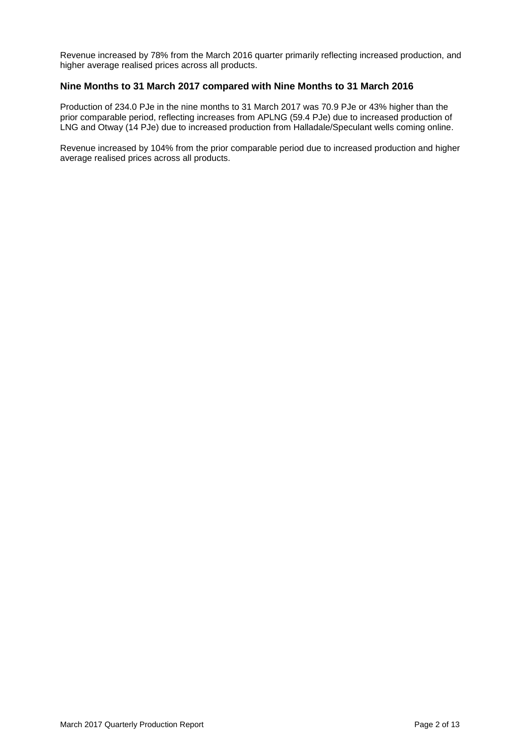Revenue increased by 78% from the March 2016 quarter primarily reflecting increased production, and higher average realised prices across all products.

### **Nine Months to 31 March 2017 compared with Nine Months to 31 March 2016**

Production of 234.0 PJe in the nine months to 31 March 2017 was 70.9 PJe or 43% higher than the prior comparable period, reflecting increases from APLNG (59.4 PJe) due to increased production of LNG and Otway (14 PJe) due to increased production from Halladale/Speculant wells coming online.

Revenue increased by 104% from the prior comparable period due to increased production and higher average realised prices across all products.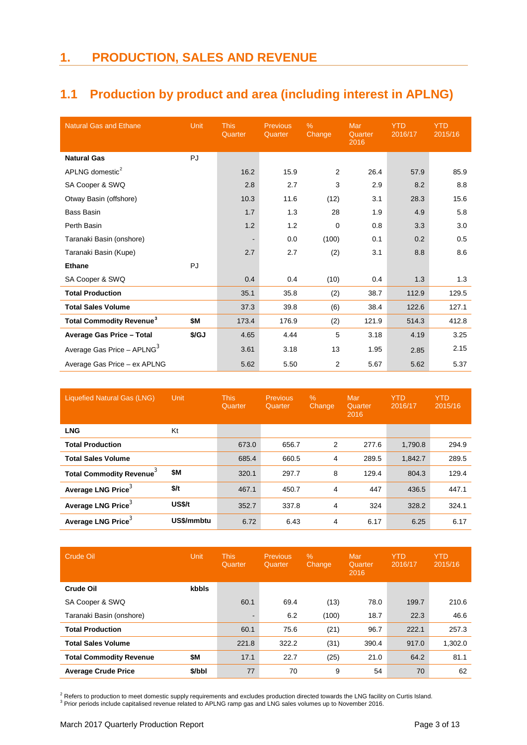### **1.1 Production by product and area (including interest in APLNG)**

| <b>Natural Gas and Ethane</b>              | <b>Unit</b> | <b>This</b><br>Quarter | <b>Previous</b><br>Quarter | $\%$<br>Change | Mar<br>Quarter<br>2016 | <b>YTD</b><br>2016/17 | <b>YTD</b><br>2015/16 |
|--------------------------------------------|-------------|------------------------|----------------------------|----------------|------------------------|-----------------------|-----------------------|
| <b>Natural Gas</b>                         | PJ          |                        |                            |                |                        |                       |                       |
| APLNG domestic <sup>2</sup>                |             | 16.2                   | 15.9                       | $\overline{2}$ | 26.4                   | 57.9                  | 85.9                  |
| SA Cooper & SWQ                            |             | 2.8                    | 2.7                        | 3              | 2.9                    | 8.2                   | 8.8                   |
| Otway Basin (offshore)                     |             | 10.3                   | 11.6                       | (12)           | 3.1                    | 28.3                  | 15.6                  |
| <b>Bass Basin</b>                          |             | 1.7                    | 1.3                        | 28             | 1.9                    | 4.9                   | 5.8                   |
| Perth Basin                                |             | 1.2                    | 1.2                        | $\mathbf 0$    | 0.8                    | 3.3                   | 3.0                   |
| Taranaki Basin (onshore)                   |             |                        | 0.0                        | (100)          | 0.1                    | 0.2                   | 0.5                   |
| Taranaki Basin (Kupe)                      |             | 2.7                    | 2.7                        | (2)            | 3.1                    | 8.8                   | 8.6                   |
| <b>Ethane</b>                              | PJ          |                        |                            |                |                        |                       |                       |
| SA Cooper & SWQ                            |             | 0.4                    | 0.4                        | (10)           | 0.4                    | 1.3                   | 1.3                   |
| <b>Total Production</b>                    |             | 35.1                   | 35.8                       | (2)            | 38.7                   | 112.9                 | 129.5                 |
| <b>Total Sales Volume</b>                  |             | 37.3                   | 39.8                       | (6)            | 38.4                   | 122.6                 | 127.1                 |
| <b>Total Commodity Revenue<sup>3</sup></b> | \$M         | 173.4                  | 176.9                      | (2)            | 121.9                  | 514.3                 | 412.8                 |
| Average Gas Price - Total                  | \$/GJ       | 4.65                   | 4.44                       | 5              | 3.18                   | 4.19                  | 3.25                  |
| Average Gas Price - APLNG <sup>3</sup>     |             | 3.61                   | 3.18                       | 13             | 1.95                   | 2.85                  | 2.15                  |
| Average Gas Price - ex APLNG               |             | 5.62                   | 5.50                       | 2              | 5.67                   | 5.62                  | 5.37                  |

<span id="page-2-0"></span>

| Liquefied Natural Gas (LNG)                 | <b>Unit</b> | <b>This</b><br>Quarter | <b>Previous</b><br>Quarter | $\%$<br>Change | Mar<br>Quarter<br>2016 | <b>YTD</b><br>2016/17 | <b>YTD</b><br>2015/16 |
|---------------------------------------------|-------------|------------------------|----------------------------|----------------|------------------------|-----------------------|-----------------------|
| <b>LNG</b>                                  | Kt          |                        |                            |                |                        |                       |                       |
| <b>Total Production</b>                     |             | 673.0                  | 656.7                      | 2              | 277.6                  | 1,790.8               | 294.9                 |
| <b>Total Sales Volume</b>                   |             | 685.4                  | 660.5                      | 4              | 289.5                  | 1,842.7               | 289.5                 |
| <b>Total Commodity Revenue</b> <sup>3</sup> | \$M         | 320.1                  | 297.7                      | 8              | 129.4                  | 804.3                 | 129.4                 |
| Average LNG Price <sup>3</sup>              | \$/t        | 467.1                  | 450.7                      | 4              | 447                    | 436.5                 | 447.1                 |
| Average LNG Price <sup>3</sup>              | US\$/t      | 352.7                  | 337.8                      | 4              | 324                    | 328.2                 | 324.1                 |
| Average LNG Price <sup>3</sup>              | US\$/mmbtu  | 6.72                   | 6.43                       | 4              | 6.17                   | 6.25                  | 6.17                  |

| <b>Crude Oil</b>               | Unit   | <b>This</b><br>Quarter | <b>Previous</b><br>Quarter | $\%$<br>Change | Mar<br>Quarter<br>2016 | <b>YTD</b><br>2016/17 | <b>YTD</b><br>2015/16 |
|--------------------------------|--------|------------------------|----------------------------|----------------|------------------------|-----------------------|-----------------------|
| Crude Oil                      | kbbls  |                        |                            |                |                        |                       |                       |
| SA Cooper & SWQ                |        | 60.1                   | 69.4                       | (13)           | 78.0                   | 199.7                 | 210.6                 |
| Taranaki Basin (onshore)       |        | $\blacksquare$         | 6.2                        | (100)          | 18.7                   | 22.3                  | 46.6                  |
| <b>Total Production</b>        |        | 60.1                   | 75.6                       | (21)           | 96.7                   | 222.1                 | 257.3                 |
| <b>Total Sales Volume</b>      |        | 221.8                  | 322.2                      | (31)           | 390.4                  | 917.0                 | 1,302.0               |
| <b>Total Commodity Revenue</b> | \$M    | 17.1                   | 22.7                       | (25)           | 21.0                   | 64.2                  | 81.1                  |
| <b>Average Crude Price</b>     | \$/bbl | 77                     | 70                         | 9              | 54                     | 70                    | 62                    |

<span id="page-2-2"></span><span id="page-2-1"></span> $^2$  Refers to production to meet domestic supply requirements and excludes production directed towards the LNG facility on Curtis Island.<br><sup>3</sup> Prior periods include capitalised revenue related to APLNG ramp gas and LNG sa

March 2017 Quarterly Production Report **Page 3 of 13** Page 3 of 13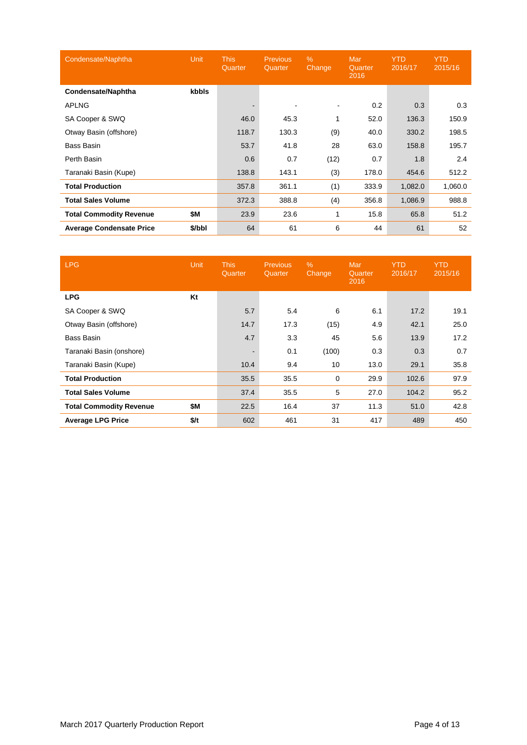| Condensate/Naphtha              | <b>Unit</b> | <b>This</b><br>Quarter | <b>Previous</b><br>Quarter | $\%$<br>Change | Mar<br>Quarter<br>2016 | <b>YTD</b><br>2016/17 | <b>YTD</b><br>2015/16 |
|---------------------------------|-------------|------------------------|----------------------------|----------------|------------------------|-----------------------|-----------------------|
| <b>Condensate/Naphtha</b>       | kbbls       |                        |                            |                |                        |                       |                       |
| <b>APLNG</b>                    |             |                        |                            | $\blacksquare$ | 0.2                    | 0.3                   | 0.3                   |
| SA Cooper & SWQ                 |             | 46.0                   | 45.3                       | 1              | 52.0                   | 136.3                 | 150.9                 |
| Otway Basin (offshore)          |             | 118.7                  | 130.3                      | (9)            | 40.0                   | 330.2                 | 198.5                 |
| Bass Basin                      |             | 53.7                   | 41.8                       | 28             | 63.0                   | 158.8                 | 195.7                 |
| Perth Basin                     |             | 0.6                    | 0.7                        | (12)           | 0.7                    | 1.8                   | 2.4                   |
| Taranaki Basin (Kupe)           |             | 138.8                  | 143.1                      | (3)            | 178.0                  | 454.6                 | 512.2                 |
| <b>Total Production</b>         |             | 357.8                  | 361.1                      | (1)            | 333.9                  | 1,082.0               | 1,060.0               |
| <b>Total Sales Volume</b>       |             | 372.3                  | 388.8                      | (4)            | 356.8                  | 1,086.9               | 988.8                 |
| <b>Total Commodity Revenue</b>  | \$Μ         | 23.9                   | 23.6                       | 1              | 15.8                   | 65.8                  | 51.2                  |
| <b>Average Condensate Price</b> | \$/bbl      | 64                     | 61                         | 6              | 44                     | 61                    | 52                    |

| <b>LPG</b>                     | <b>Unit</b> | <b>This</b><br>Quarter | <b>Previous</b><br>Quarter | $\%$<br>Change | Mar<br>Quarter<br>2016 | <b>YTD</b><br>2016/17 | <b>YTD</b><br>2015/16 |
|--------------------------------|-------------|------------------------|----------------------------|----------------|------------------------|-----------------------|-----------------------|
| <b>LPG</b>                     | Kt          |                        |                            |                |                        |                       |                       |
| SA Cooper & SWQ                |             | 5.7                    | 5.4                        | 6              | 6.1                    | 17.2                  | 19.1                  |
| Otway Basin (offshore)         |             | 14.7                   | 17.3                       | (15)           | 4.9                    | 42.1                  | 25.0                  |
| Bass Basin                     |             | 4.7                    | 3.3                        | 45             | 5.6                    | 13.9                  | 17.2                  |
| Taranaki Basin (onshore)       |             | ۰                      | 0.1                        | (100)          | 0.3                    | 0.3                   | 0.7                   |
| Taranaki Basin (Kupe)          |             | 10.4                   | 9.4                        | 10             | 13.0                   | 29.1                  | 35.8                  |
| <b>Total Production</b>        |             | 35.5                   | 35.5                       | 0              | 29.9                   | 102.6                 | 97.9                  |
| <b>Total Sales Volume</b>      |             | 37.4                   | 35.5                       | 5              | 27.0                   | 104.2                 | 95.2                  |
| <b>Total Commodity Revenue</b> | \$Μ         | 22.5                   | 16.4                       | 37             | 11.3                   | 51.0                  | 42.8                  |
| <b>Average LPG Price</b>       | \$/t        | 602                    | 461                        | 31             | 417                    | 489                   | 450                   |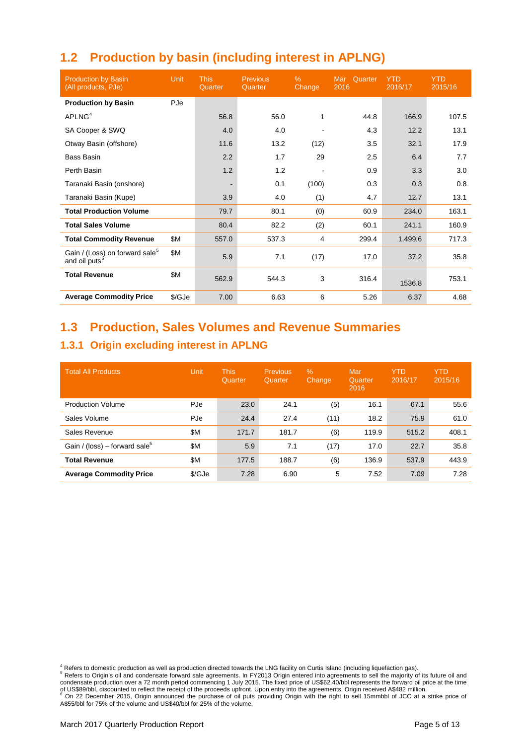# **1.2 Production by basin (including interest in APLNG)**

| <b>Production by Basin</b><br>(All products, PJe)                       | Unit   | <b>This</b><br>Quarter | <b>Previous</b><br>Quarter | $\%$<br>Change | Quarter<br>Mar 1<br>2016 | <b>YTD</b><br>2016/17 | <b>YTD</b><br>2015/16 |
|-------------------------------------------------------------------------|--------|------------------------|----------------------------|----------------|--------------------------|-----------------------|-----------------------|
| <b>Production by Basin</b>                                              | PJe    |                        |                            |                |                          |                       |                       |
| APLNG <sup>4</sup>                                                      |        | 56.8                   | 56.0                       | 1              | 44.8                     | 166.9                 | 107.5                 |
| SA Cooper & SWQ                                                         |        | 4.0                    | 4.0                        |                | 4.3                      | 12.2                  | 13.1                  |
| Otway Basin (offshore)                                                  |        | 11.6                   | 13.2                       | (12)           | 3.5                      | 32.1                  | 17.9                  |
| <b>Bass Basin</b>                                                       |        | 2.2                    | 1.7                        | 29             | 2.5                      | 6.4                   | 7.7                   |
| Perth Basin                                                             |        | 1.2                    | 1.2                        |                | 0.9                      | 3.3                   | 3.0                   |
| Taranaki Basin (onshore)                                                |        |                        | 0.1                        | (100)          | 0.3                      | 0.3                   | 0.8                   |
| Taranaki Basin (Kupe)                                                   |        | 3.9                    | 4.0                        | (1)            | 4.7                      | 12.7                  | 13.1                  |
| <b>Total Production Volume</b>                                          |        | 79.7                   | 80.1                       | (0)            | 60.9                     | 234.0                 | 163.1                 |
| <b>Total Sales Volume</b>                                               |        | 80.4                   | 82.2                       | (2)            | 60.1                     | 241.1                 | 160.9                 |
| <b>Total Commodity Revenue</b>                                          | \$M    | 557.0                  | 537.3                      | 4              | 299.4                    | 1,499.6               | 717.3                 |
| Gain / (Loss) on forward sale <sup>5</sup><br>and oil puts <sup>6</sup> | \$M    | 5.9                    | 7.1                        | (17)           | 17.0                     | 37.2                  | 35.8                  |
| <b>Total Revenue</b>                                                    | \$M    | 562.9                  | 544.3                      | 3              | 316.4                    | 1536.8                | 753.1                 |
| <b>Average Commodity Price</b>                                          | \$/GJe | 7.00                   | 6.63                       | 6              | 5.26                     | 6.37                  | 4.68                  |

### **1.3 Production, Sales Volumes and Revenue Summaries**

### **1.3.1 Origin excluding interest in APLNG**

| <b>Total All Products</b>                 | Unit   | <b>This</b><br>Quarter | Previous<br>Quarter | $\%$<br><b>Change</b> | Mar<br>Quarter<br>2016 | <b>YTD</b><br>2016/17 | <b>YTD</b><br>2015/16 |
|-------------------------------------------|--------|------------------------|---------------------|-----------------------|------------------------|-----------------------|-----------------------|
| <b>Production Volume</b>                  | PJe    | 23.0                   | 24.1                | (5)                   | 16.1                   | 67.1                  | 55.6                  |
| Sales Volume                              | PJe    | 24.4                   | 27.4                | (11)                  | 18.2                   | 75.9                  | 61.0                  |
| Sales Revenue                             | \$M    | 171.7                  | 181.7               | (6)                   | 119.9                  | 515.2                 | 408.1                 |
| Gain / (loss) – forward sale <sup>5</sup> | \$M    | 5.9                    | 7.1                 | (17)                  | 17.0                   | 22.7                  | 35.8                  |
| <b>Total Revenue</b>                      | \$Μ    | 177.5                  | 188.7               | (6)                   | 136.9                  | 537.9                 | 443.9                 |
| <b>Average Commodity Price</b>            | \$/GJe | 7.28                   | 6.90                | 5                     | 7.52                   | 7.09                  | 7.28                  |

<span id="page-4-1"></span><span id="page-4-0"></span><sup>&</sup>lt;sup>4</sup> Refers to domestic production as well as production directed towards the LNG facility on Curtis Island (including liquefaction gas).<br><sup>5</sup> Refers to Origin's oil and condensate forward sale agreements. In FY2013 Origin e condensate production over a 72 month period commencing 1 July 2015. The fixed price of US\$62.40/bbl represents the forward oil price at the time of US\$89/bbl, discounted to reflect the receipt of the proceeds upfront. Upon entry into the agreements, Origin received A\$482 million.<br><sup>6</sup> On 22 December 2015, Origin announced the purchase of oil puts providing Origin wi

<span id="page-4-2"></span>A\$55/bbl for 75% of the volume and US\$40/bbl for 25% of the volume.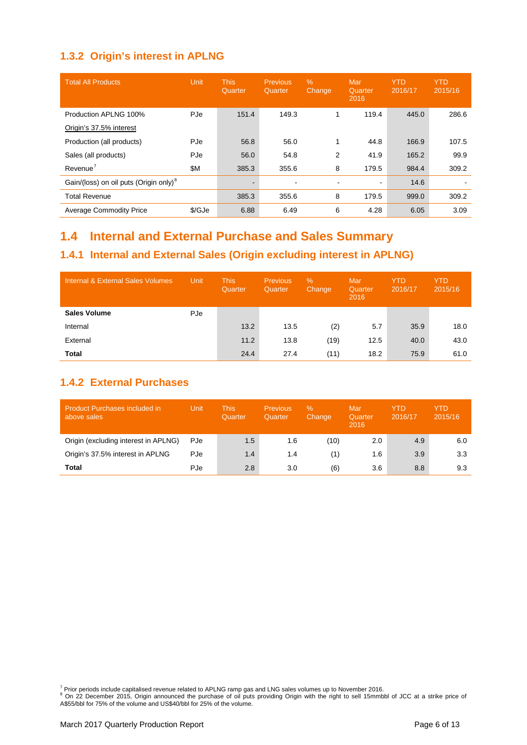### **1.3.2 Origin's interest in APLNG**

| <b>Total All Products</b>                          | Unit   | <b>This</b><br>Quarter | <b>Previous</b><br>Quarter | $\%$<br>Change | Mar<br>Quarter<br>2016 | <b>YTD</b><br>2016/17 | <b>YTD</b><br>2015/16 |
|----------------------------------------------------|--------|------------------------|----------------------------|----------------|------------------------|-----------------------|-----------------------|
| Production APLNG 100%                              | PJe    | 151.4                  | 149.3                      |                | 119.4                  | 445.0                 | 286.6                 |
| Origin's 37.5% interest                            |        |                        |                            |                |                        |                       |                       |
| Production (all products)                          | PJe    | 56.8                   | 56.0                       |                | 44.8                   | 166.9                 | 107.5                 |
| Sales (all products)                               | PJe    | 56.0                   | 54.8                       | 2              | 41.9                   | 165.2                 | 99.9                  |
| Revenue <sup>7</sup>                               | \$M    | 385.3                  | 355.6                      | 8              | 179.5                  | 984.4                 | 309.2                 |
| Gain/(loss) on oil puts (Origin only) <sup>8</sup> |        |                        |                            |                | $\sim$                 | 14.6                  |                       |
| <b>Total Revenue</b>                               |        | 385.3                  | 355.6                      | 8              | 179.5                  | 999.0                 | 309.2                 |
| <b>Average Commodity Price</b>                     | \$/GJe | 6.88                   | 6.49                       | 6              | 4.28                   | 6.05                  | 3.09                  |

# **1.4 Internal and External Purchase and Sales Summary**

### **1.4.1 Internal and External Sales (Origin excluding interest in APLNG)**

| Internal & External Sales Volumes | Unit | <b>This</b><br>Quarter | <b>Previous</b><br>Quarter | $\%$<br>Change | Mar<br>Quarter<br>2016 | <b>YTD</b><br>2016/17 | YTD<br>2015/16 |
|-----------------------------------|------|------------------------|----------------------------|----------------|------------------------|-----------------------|----------------|
| <b>Sales Volume</b>               | PJe  |                        |                            |                |                        |                       |                |
| Internal                          |      | 13.2                   | 13.5                       | (2)            | 5.7                    | 35.9                  | 18.0           |
| External                          |      | 11.2                   | 13.8                       | (19)           | 12.5                   | 40.0                  | 43.0           |
| Total                             |      | 24.4                   | 27.4                       | (11)           | 18.2                   | 75.9                  | 61.0           |

### **1.4.2 External Purchases**

| <b>Product Purchases included in</b><br>above sales | Unit | This<br>Quarter | <b>Previous</b><br>Quarter | $\%$<br>Change | Mar<br>Quarter<br>2016 | <b>YTD</b><br>2016/17 | YTD<br>2015/16 |
|-----------------------------------------------------|------|-----------------|----------------------------|----------------|------------------------|-----------------------|----------------|
| Origin (excluding interest in APLNG)                | PJe  | 1.5             | 1.6                        | (10)           | 2.0                    | 4.9                   | 6.0            |
| Origin's 37.5% interest in APLNG                    | PJe  | 1.4             | 1.4                        | (1)            | 1.6                    | 3.9                   | 3.3            |
| Total                                               | PJe  | 2.8             | 3.0                        | (6)            | 3.6                    | 8.8                   | 9.3            |

<span id="page-5-1"></span><span id="page-5-0"></span><sup>7</sup> Prior periods include capitalised revenue related to APLNG ramp gas and LNG sales volumes up to November 2016.<br><sup>8</sup> On 22 December 2015, Origin announced the purchase of oil puts providing Origin with the right to sell A\$55/bbl for 75% of the volume and US\$40/bbl for 25% of the volume.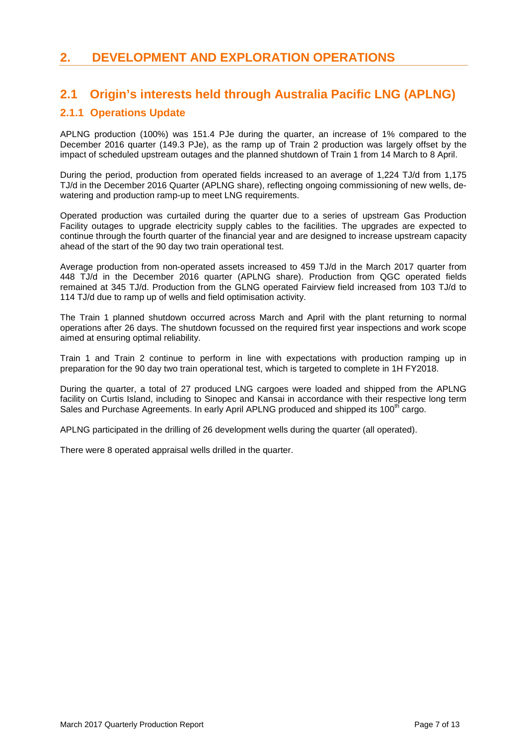### **2. DEVELOPMENT AND EXPLORATION OPERATIONS**

### **2.1 Origin's interests held through Australia Pacific LNG (APLNG)**

### **2.1.1 Operations Update**

APLNG production (100%) was 151.4 PJe during the quarter, an increase of 1% compared to the December 2016 quarter (149.3 PJe), as the ramp up of Train 2 production was largely offset by the impact of scheduled upstream outages and the planned shutdown of Train 1 from 14 March to 8 April.

During the period, production from operated fields increased to an average of 1,224 TJ/d from 1,175 TJ/d in the December 2016 Quarter (APLNG share), reflecting ongoing commissioning of new wells, dewatering and production ramp-up to meet LNG requirements.

Operated production was curtailed during the quarter due to a series of upstream Gas Production Facility outages to upgrade electricity supply cables to the facilities. The upgrades are expected to continue through the fourth quarter of the financial year and are designed to increase upstream capacity ahead of the start of the 90 day two train operational test.

Average production from non-operated assets increased to 459 TJ/d in the March 2017 quarter from 448 TJ/d in the December 2016 quarter (APLNG share). Production from QGC operated fields remained at 345 TJ/d. Production from the GLNG operated Fairview field increased from 103 TJ/d to 114 TJ/d due to ramp up of wells and field optimisation activity.

The Train 1 planned shutdown occurred across March and April with the plant returning to normal operations after 26 days. The shutdown focussed on the required first year inspections and work scope aimed at ensuring optimal reliability.

Train 1 and Train 2 continue to perform in line with expectations with production ramping up in preparation for the 90 day two train operational test, which is targeted to complete in 1H FY2018.

During the quarter, a total of 27 produced LNG cargoes were loaded and shipped from the APLNG facility on Curtis Island, including to Sinopec and Kansai in accordance with their respective long term Sales and Purchase Agreements. In early April APLNG produced and shipped its 100<sup>th</sup> cargo.

APLNG participated in the drilling of 26 development wells during the quarter (all operated).

There were 8 operated appraisal wells drilled in the quarter.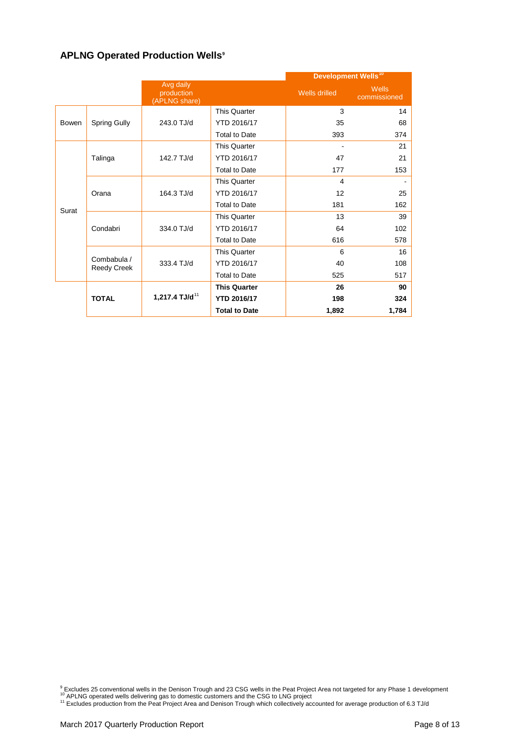### **APLNG Operated Production Wells[9](#page-7-0)**

|              |                            |                                          |                      | Development Wells <sup>10</sup> |                              |
|--------------|----------------------------|------------------------------------------|----------------------|---------------------------------|------------------------------|
|              |                            | Avg daily<br>production<br>(APLNG share) |                      | Wells drilled                   | <b>Wells</b><br>commissioned |
|              |                            |                                          | <b>This Quarter</b>  | 3                               | 14                           |
| <b>Bowen</b> | <b>Spring Gully</b>        | 243.0 TJ/d                               | YTD 2016/17          | 35                              | 68                           |
|              |                            |                                          | <b>Total to Date</b> | 393                             | 374                          |
|              |                            |                                          | <b>This Quarter</b>  |                                 | 21                           |
|              | Talinga                    | 142.7 TJ/d                               | YTD 2016/17          | 47                              | 21                           |
|              |                            |                                          | <b>Total to Date</b> | 177                             | 153                          |
|              |                            |                                          | <b>This Quarter</b>  | 4                               |                              |
|              | Orana                      | 164.3 TJ/d                               | YTD 2016/17          | 12                              | 25                           |
| Surat        |                            |                                          | <b>Total to Date</b> | 181                             | 162                          |
|              |                            |                                          | <b>This Quarter</b>  | 13                              | 39                           |
|              | Condabri                   | 334.0 TJ/d                               | YTD 2016/17          | 64                              | 102                          |
|              |                            |                                          | <b>Total to Date</b> | 616                             | 578                          |
|              |                            |                                          | <b>This Quarter</b>  | 6                               | 16                           |
|              | Combabula /<br>Reedy Creek | 333.4 TJ/d                               | YTD 2016/17          | 40                              | 108                          |
|              |                            |                                          | <b>Total to Date</b> | 525                             | 517                          |
|              |                            |                                          | <b>This Quarter</b>  | 26                              | 90                           |
|              | <b>TOTAL</b>               | 1,217.4 TJ/d <sup>11</sup>               | <b>YTD 2016/17</b>   | 198                             | 324                          |
|              |                            |                                          | <b>Total to Date</b> | 1,892                           | 1,784                        |

<span id="page-7-1"></span><span id="page-7-0"></span><sup>9</sup> Excludes 25 conventional wells in the Denison Trough and 23 CSG wells in the Peat Project Area not targeted for any Phase 1 development <sup>10</sup> APLNG operated wells delivering gas to domestic customers and the CSG to LNG

<span id="page-7-2"></span>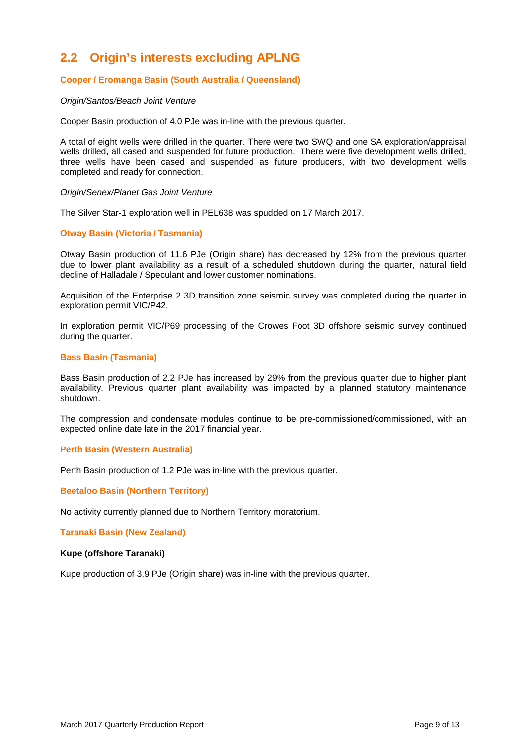# **2.2 Origin's interests excluding APLNG**

### **Cooper / Eromanga Basin (South Australia / Queensland)**

#### *Origin/Santos/Beach Joint Venture*

Cooper Basin production of 4.0 PJe was in-line with the previous quarter.

A total of eight wells were drilled in the quarter. There were two SWQ and one SA exploration/appraisal wells drilled, all cased and suspended for future production. There were five development wells drilled, three wells have been cased and suspended as future producers, with two development wells completed and ready for connection.

#### *Origin/Senex/Planet Gas Joint Venture*

The Silver Star-1 exploration well in PEL638 was spudded on 17 March 2017.

#### **Otway Basin (Victoria / Tasmania)**

Otway Basin production of 11.6 PJe (Origin share) has decreased by 12% from the previous quarter due to lower plant availability as a result of a scheduled shutdown during the quarter, natural field decline of Halladale / Speculant and lower customer nominations.

Acquisition of the Enterprise 2 3D transition zone seismic survey was completed during the quarter in exploration permit VIC/P42.

In exploration permit VIC/P69 processing of the Crowes Foot 3D offshore seismic survey continued during the quarter.

#### **Bass Basin (Tasmania)**

Bass Basin production of 2.2 PJe has increased by 29% from the previous quarter due to higher plant availability. Previous quarter plant availability was impacted by a planned statutory maintenance shutdown.

The compression and condensate modules continue to be pre-commissioned/commissioned, with an expected online date late in the 2017 financial year.

#### **Perth Basin (Western Australia)**

Perth Basin production of 1.2 PJe was in-line with the previous quarter.

#### **Beetaloo Basin (Northern Territory)**

No activity currently planned due to Northern Territory moratorium.

**Taranaki Basin (New Zealand)**

#### **Kupe (offshore Taranaki)**

Kupe production of 3.9 PJe (Origin share) was in-line with the previous quarter.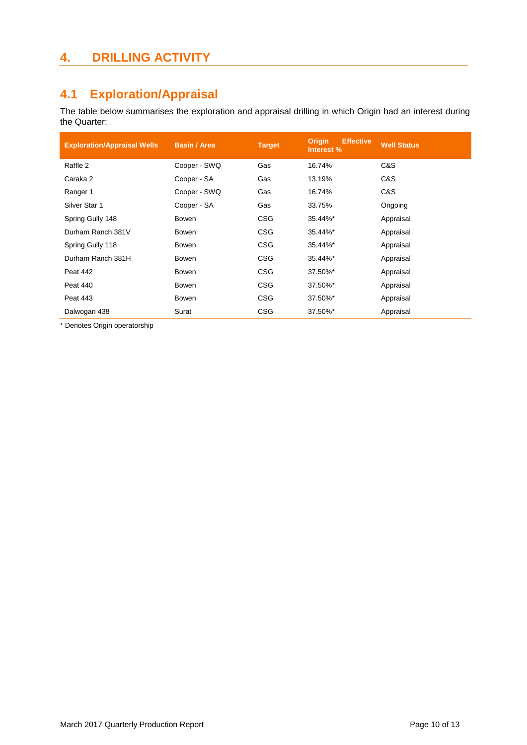# **4. DRILLING ACTIVITY**

# **4.1 Exploration/Appraisal**

The table below summarises the exploration and appraisal drilling in which Origin had an interest during the Quarter:

| <b>Exploration/Appraisal Wells</b> | <b>Basin / Area</b> | <b>Target</b> | <b>Effective</b><br><b>Origin</b><br>Interest % | <b>Well Status</b> |
|------------------------------------|---------------------|---------------|-------------------------------------------------|--------------------|
| Raffle 2                           | Cooper - SWQ        | Gas           | 16.74%                                          | C&S                |
| Caraka 2                           | Cooper - SA         | Gas           | 13.19%                                          | C&S                |
| Ranger 1                           | Cooper - SWQ        | Gas           | 16.74%                                          | C&S                |
| Silver Star 1                      | Cooper - SA         | Gas           | 33.75%                                          | Ongoing            |
| Spring Gully 148                   | Bowen               | <b>CSG</b>    | 35.44%*                                         | Appraisal          |
| Durham Ranch 381V                  | Bowen               | <b>CSG</b>    | 35.44%*                                         | Appraisal          |
| Spring Gully 118                   | Bowen               | <b>CSG</b>    | 35.44%*                                         | Appraisal          |
| Durham Ranch 381H                  | Bowen               | <b>CSG</b>    | 35.44%*                                         | Appraisal          |
| Peat 442                           | Bowen               | <b>CSG</b>    | 37.50%*                                         | Appraisal          |
| Peat 440                           | Bowen               | <b>CSG</b>    | 37.50%*                                         | Appraisal          |
| <b>Peat 443</b>                    | <b>Bowen</b>        | <b>CSG</b>    | 37.50%*                                         | Appraisal          |
| Dalwogan 438                       | Surat               | <b>CSG</b>    | 37.50%*                                         | Appraisal          |

\* Denotes Origin operatorship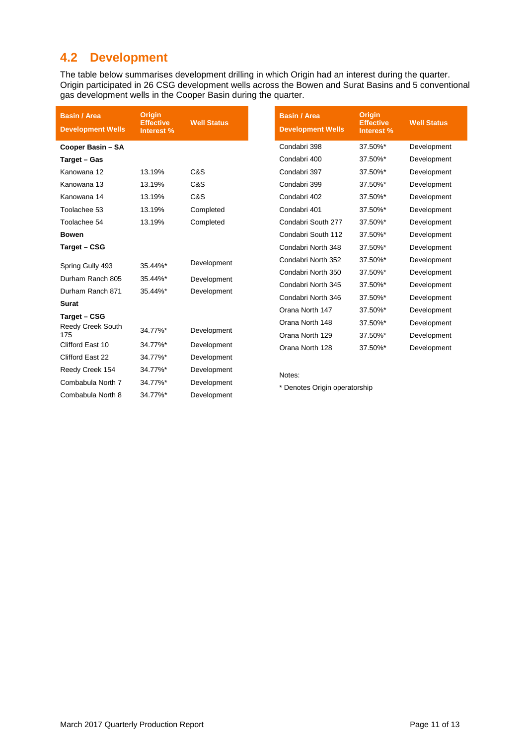# **4.2 Development**

The table below summarises development drilling in which Origin had an interest during the quarter. Origin participated in 26 CSG development wells across the Bowen and Surat Basins and 5 conventional gas development wells in the Cooper Basin during the quarter.

| <b>Basin / Area</b><br><b>Development Wells</b> | <b>Origin</b><br><b>Effective</b><br>Interest % | <b>Well Status</b>         | <b>Basin / Area</b><br><b>Development Wells</b> | Origin<br><b>Effective</b><br>Interest % | <b>Well Status</b> |
|-------------------------------------------------|-------------------------------------------------|----------------------------|-------------------------------------------------|------------------------------------------|--------------------|
| Cooper Basin - SA                               |                                                 |                            | Condabri 398                                    | 37.50%*                                  | Development        |
| Target - Gas                                    |                                                 |                            | Condabri 400                                    | 37.50%*                                  | Development        |
| Kanowana 12                                     | 13.19%                                          | C&S                        | Condabri 397                                    | 37.50%*                                  | Development        |
| Kanowana 13                                     | 13.19%                                          | C&S                        | Condabri 399                                    | 37.50%*                                  | Development        |
| Kanowana 14                                     | 13.19%                                          | C&S                        | Condabri 402                                    | 37.50%*                                  | Development        |
| Toolachee 53                                    | 13.19%                                          | Completed                  | Condabri 401                                    | 37.50%*                                  | Development        |
| Toolachee 54                                    | 13.19%                                          | Completed                  | Condabri South 277                              | 37.50%*                                  | Development        |
| <b>Bowen</b>                                    |                                                 |                            | Condabri South 112                              | 37.50%*                                  | Development        |
| Target - CSG                                    |                                                 |                            | Condabri North 348                              | 37.50%*                                  | Development        |
| Spring Gully 493                                | 35.44%*                                         | Development                | Condabri North 352                              | 37.50%*                                  | Development        |
| Durham Ranch 805                                |                                                 | Development<br>Development | Condabri North 350                              | 37.50%*                                  | Development        |
|                                                 | 35.44%*                                         |                            | Condabri North 345                              | 37.50%*                                  | Development        |
| Durham Ranch 871                                | 35.44%*                                         |                            | Condabri North 346                              | 37.50%*                                  | Development        |
| <b>Surat</b>                                    |                                                 |                            | Orana North 147                                 | 37.50%*                                  | Development        |
| Target - CSG                                    |                                                 |                            | Orana North 148                                 | 37.50%*                                  | Development        |
| <b>Reedy Creek South</b><br>175                 | 34.77%*                                         | Development                | Orana North 129                                 | 37.50%*                                  | Development        |
| Clifford East 10                                | 34.77%*                                         | Development                | Orana North 128                                 | 37.50%*                                  | Development        |
| Clifford East 22                                | 34.77%*                                         | Development                |                                                 |                                          |                    |
| Reedy Creek 154                                 | 34.77%*                                         | Development                | Notes:                                          |                                          |                    |
| Combabula North 7                               | 34.77%*                                         | Development                |                                                 |                                          |                    |
| Combabula North 8                               | 34.77%*                                         | Development                | * Denotes Origin operatorship                   |                                          |                    |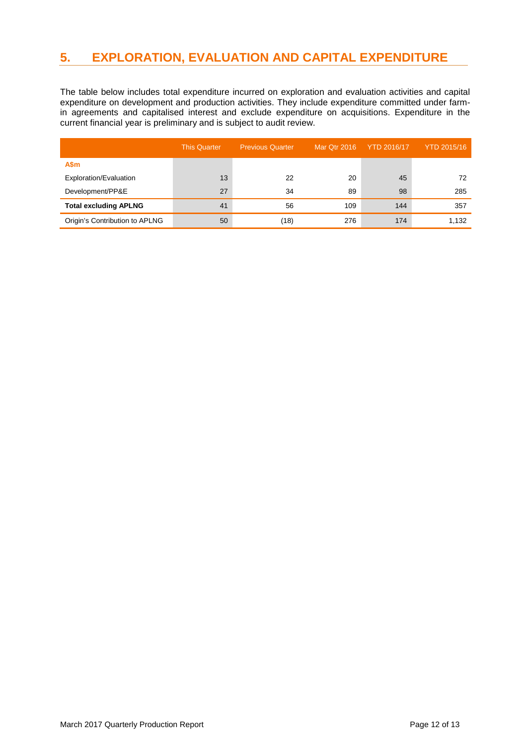# **5. EXPLORATION, EVALUATION AND CAPITAL EXPENDITURE**

The table below includes total expenditure incurred on exploration and evaluation activities and capital expenditure on development and production activities. They include expenditure committed under farmin agreements and capitalised interest and exclude expenditure on acquisitions. Expenditure in the current financial year is preliminary and is subject to audit review.

|                                | This Quarter | <b>Previous Quarter</b> | Mar Qtr 2016 | <b>YTD 2016/17</b> | <b>YTD 2015/16</b> |
|--------------------------------|--------------|-------------------------|--------------|--------------------|--------------------|
| A\$m                           |              |                         |              |                    |                    |
| Exploration/Evaluation         | 13           | 22                      | 20           | 45                 | 72                 |
| Development/PP&E               | 27           | 34                      | 89           | 98                 | 285                |
| <b>Total excluding APLNG</b>   | 41           | 56                      | 109          | 144                | 357                |
| Origin's Contribution to APLNG | 50           | (18)                    | 276          | 174                | 1,132              |